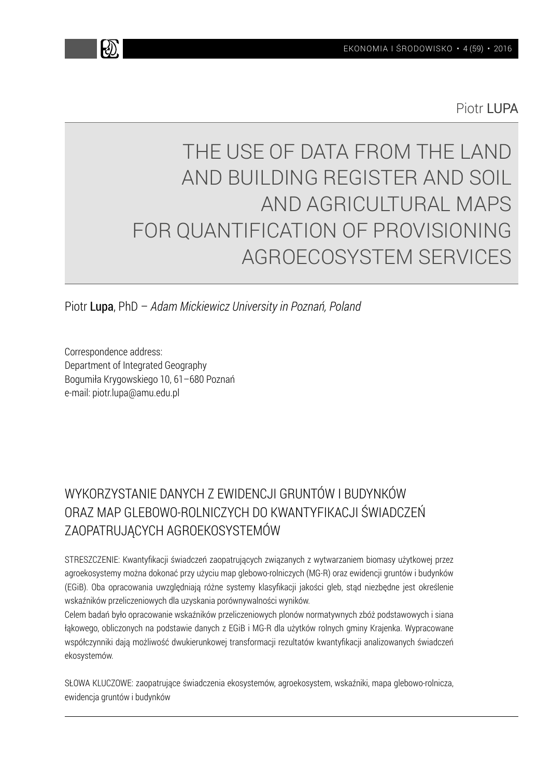Piotr LLIPA

# THE USE OF DATA FROM THE LAND AND BUILDING REGISTER AND SOIL AND AGRICULTURAL MAPS FOR QUANTIFICATION OF PROVISIONING AGROECOSYSTEM SERVICES

Piotr Lupa, PhD – *Adam Mickiewicz University in Poznań, Poland*

Correspondence address: Department of Integrated Geography Bogumiła Krygowskiego 10, 61–680 Poznań e-mail: piotr.lupa@amu.edu.pl

## WYKORZYSTANIE DANYCH Z EWIDENCJI GRUNTÓW I BUDYNKÓW ORAZ MAP GLEBOWO-ROLNICZYCH DO KWANTYFIKACJI ŚWIADCZEŃ ZAOPATRUJĄCYCH AGROEKOSYSTEMÓW

STRESZCZENIE: Kwantyfikacji świadczeń zaopatrujących związanych z wytwarzaniem biomasy użytkowej przez agroekosystemy można dokonać przy użyciu map glebowo-rolniczych (MG-R) oraz ewidencji gruntów i budynków (EGiB). Oba opracowania uwzględniają różne systemy klasyfikacji jakości gleb, stąd niezbędne jest określenie wskaźników przeliczeniowych dla uzyskania porównywalności wyników.

Celem badań było opracowanie wskaźników przeliczeniowych plonów normatywnych zbóż podstawowych i siana łąkowego, obliczonych na podstawie danych z EGiB i MG-R dla użytków rolnych gminy Krajenka. Wypracowane współczynniki dają możliwość dwukierunkowej transformacji rezultatów kwantyfikacji analizowanych świadczeń ekosystemów.

SŁOWA KLUCZOWE: zaopatrujące świadczenia ekosystemów, agroekosystem, wskaźniki, mapa glebowo-rolnicza, ewidencja gruntów i budynków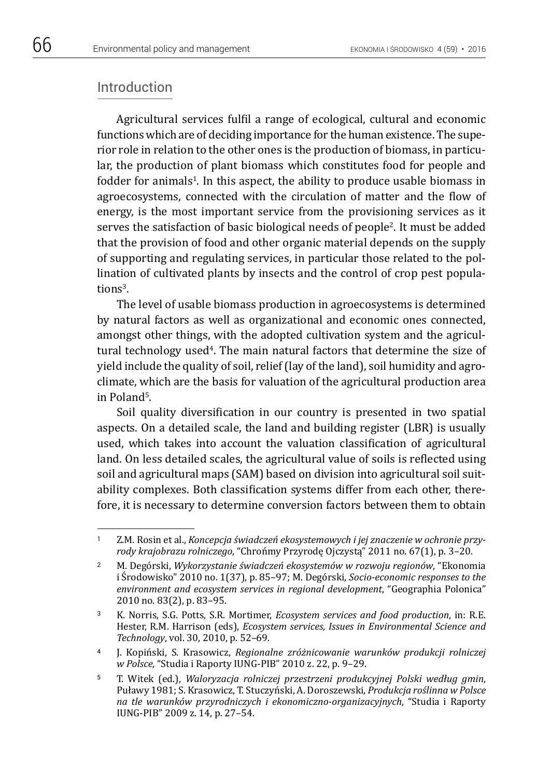### Introduction

Agricultural services fulfil a range of ecological, cultural and economic functions which are of deciding importance for the human existence. The superior role in relation to the other ones is the production of biomass, in particular, the production of plant biomass which constitutes food for people and fodder for animals<sup>1</sup>. In this aspect, the ability to produce usable biomass in agroecosystems, connected with the circulation of matter and the flow of energy, is the most important service from the provisioning services as it serves the satisfaction of basic biological needs of people2. It must be added that the provision of food and other organic material depends on the supply of supporting and regulating services, in particular those related to the pollination of cultivated plants by insects and the control of crop pest populations<sup>3</sup>.

The level of usable biomass production in agroecosystems is determined by natural factors as well as organizational and economic ones connected, amongst other things, with the adopted cultivation system and the agricultural technology used<sup>4</sup>. The main natural factors that determine the size of yield include the quality of soil, relief (lay of the land), soil humidity and agroclimate, which are the basis for valuation of the agricultural production area in Poland5.

Soil quality diversification in our country is presented in two spatial aspects. On a detailed scale, the land and building register (LBR) is usually used, which takes into account the valuation classification of agricultural land. On less detailed scales, the agricultural value of soils is reflected using soil and agricultural maps (SAM) based on division into agricultural soil suitability complexes. Both classification systems differ from each other, therefore, it is necessary to determine conversion factors between them to obtain

<sup>1</sup> Z.M. Rosin et al., *Koncepcja świadczeń ekosystemowych i jej znaczenie w ochronie przyrody krajobrazu rolniczego*, "Chrońmy Przyrodę Ojczystą" 2011 no. 67(1), p. 3–20.

<sup>2</sup> M. Degórski, *Wykorzystanie świadczeń ekosystemów w rozwoju regionów*, "Ekonomia i Środowisko" 2010 no. 1(37), p. 85–97; M. Degórski, *Socio-economic responses to the environment and ecosystem services in regional development*, "Geographia Polonica" 2010 no. 83(2), p. 83–95.

<sup>3</sup> K. Norris, S.G. Potts, S.R. Mortimer, *Ecosystem services and food production*, in: R.E. Hester, R.M. Harrison (eds), *Ecosystem services, Issues in Environmental Science and Technology*, vol. 30, 2010, p. 52–69.

<sup>4</sup> J. Kopiński, S. Krasowicz, *Regionalne zróżnicowanie warunków produkcji rolniczej w Polsce*, "Studia i Raporty IUNG-PIB" 2010 z. 22, p. 9–29.

<sup>5</sup> T. Witek (ed.), *Waloryzacja rolniczej przestrzeni produkcyjnej Polski według gmin*, Puławy 1981; S. Krasowicz, T. Stuczyński, A. Doroszewski, *Produkcja roślinna w Polsce na tle warunków przyrodniczych i ekonomiczno-organizacyjnych*, "Studia i Raporty IUNG-PIB" 2009 z. 14, p. 27–54.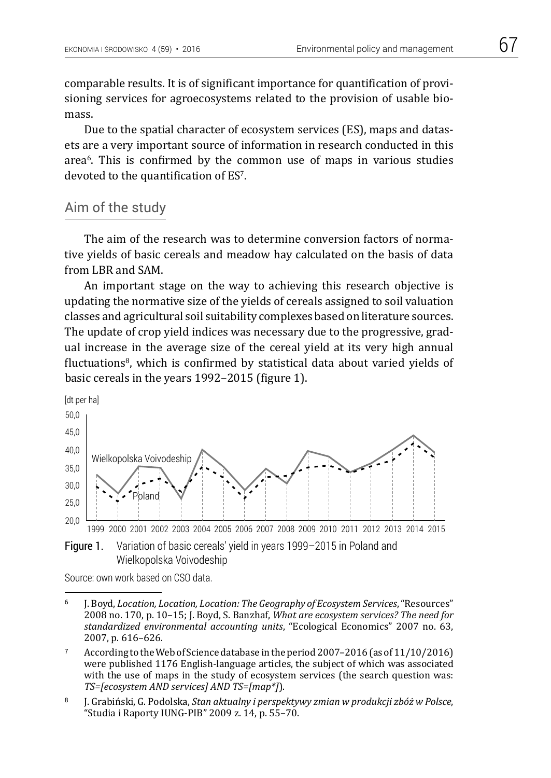comparable results. It is of significant importance for quantification of provisioning services for agroecosystems related to the provision of usable biomass.

Due to the spatial character of ecosystem services (ES), maps and datasets are a very important source of information in research conducted in this area6. This is confirmed by the common use of maps in various studies devoted to the quantification of ES7.

### Aim of the study

The aim of the research was to determine conversion factors of normative yields of basic cereals and meadow hay calculated on the basis of data from LBR and SAM.

An important stage on the way to achieving this research objective is updating the normative size of the yields of cereals assigned to soil valuation classes and agricultural soil suitability complexes based on literature sources. The update of crop yield indices was necessary due to the progressive, gradual increase in the average size of the cereal yield at its very high annual fluctuations<sup>8</sup>, which is confirmed by statistical data about varied yields of basic cereals in the years 1992–2015 (figure 1).



Source: own work based on CSO data.

<sup>6</sup> J. Boyd, *Location, Location, Location: The Geography of Ecosystem Services*, "Resources" 2008 no. 170, p. 10–15; J. Boyd, S. Banzhaf, *What are ecosystem services? The need for standardized environmental accounting units*, "Ecological Economics" 2007 no. 63, 2007, p. 616–626.

<sup>7</sup> According to the Web of Science database in the period 2007–2016 (as of 11/10/2016) were published 1176 English-language articles, the subject of which was associated with the use of maps in the study of ecosystem services (the search question was: *TS=[ecosystem AND services] AND TS=[map\*]*).

<sup>8</sup> J. Grabiński, G. Podolska, *Stan aktualny i perspektywy zmian w produkcji zbóż w Polsce*, "Studia i Raporty IUNG-PIB" 2009 z. 14, p. 55–70.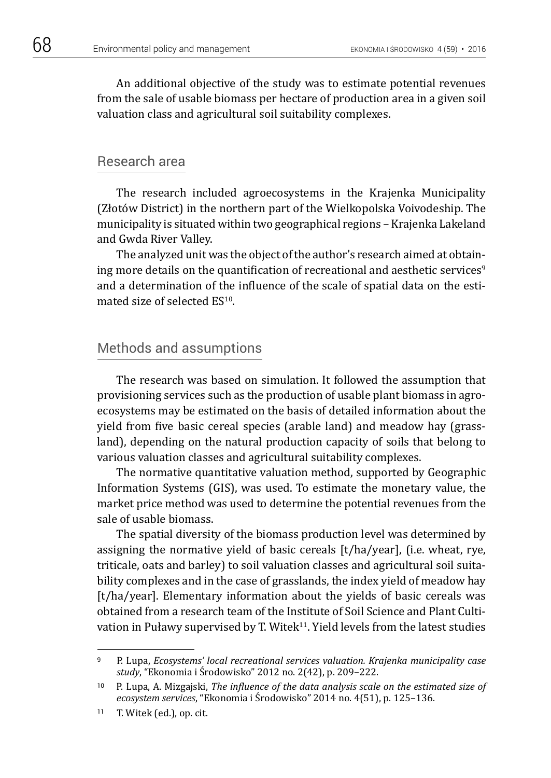An additional objective of the study was to estimate potential revenues from the sale of usable biomass per hectare of production area in a given soil valuation class and agricultural soil suitability complexes.

### Research area

The research included agroecosystems in the Krajenka Municipality (Złotów District) in the northern part of the Wielkopolska Voivodeship. The municipality is situated within two geographical regions – Krajenka Lakeland and Gwda River Valley.

The analyzed unit was the object of the author's research aimed at obtaining more details on the quantification of recreational and aesthetic services<sup>9</sup> and a determination of the influence of the scale of spatial data on the estimated size of selected ES10.

### Methods and assumptions

The research was based on simulation. It followed the assumption that provisioning services such as the production of usable plant biomass in agroecosystems may be estimated on the basis of detailed information about the yield from five basic cereal species (arable land) and meadow hay (grassland), depending on the natural production capacity of soils that belong to various valuation classes and agricultural suitability complexes.

The normative quantitative valuation method, supported by Geographic Information Systems (GIS), was used. To estimate the monetary value, the market price method was used to determine the potential revenues from the sale of usable biomass.

The spatial diversity of the biomass production level was determined by assigning the normative yield of basic cereals [t/ha/year], (i.e. wheat, rye, triticale, oats and barley) to soil valuation classes and agricultural soil suitability complexes and in the case of grasslands, the index yield of meadow hay [t/ha/year]. Elementary information about the yields of basic cereals was obtained from a research team of the Institute of Soil Science and Plant Cultivation in Puławy supervised by T. Witek $11$ . Yield levels from the latest studies

<sup>9</sup> P. Lupa, *Ecosystems' local recreational services valuation. Krajenka municipality case study*, "Ekonomia i Środowisko" 2012 no. 2(42), p. 209–222.

<sup>10</sup> P. Lupa, A. Mizgajski, *The influence of the data analysis scale on the estimated size of ecosystem services*, "Ekonomia i Środowisko" 2014 no. 4(51), p. 125–136.

<sup>11</sup> T. Witek (ed.), op. cit.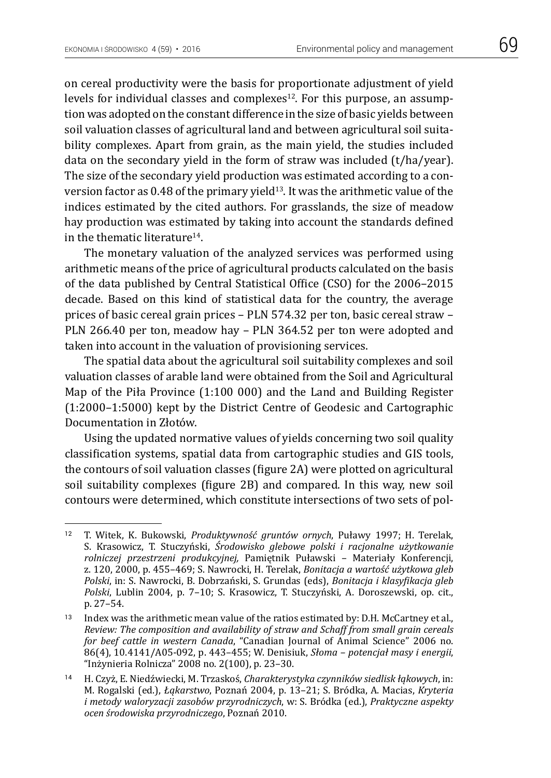on cereal productivity were the basis for proportionate adjustment of yield levels for individual classes and complexes<sup>12</sup>. For this purpose, an assumption was adopted on the constant difference in the size of basic yields between soil valuation classes of agricultural land and between agricultural soil suitability complexes. Apart from grain, as the main yield, the studies included data on the secondary yield in the form of straw was included (t/ha/year). The size of the secondary yield production was estimated according to a conversion factor as 0.48 of the primary yield<sup>13</sup>. It was the arithmetic value of the indices estimated by the cited authors. For grasslands, the size of meadow hay production was estimated by taking into account the standards defined in the thematic literature14.

The monetary valuation of the analyzed services was performed using arithmetic means of the price of agricultural products calculated on the basis of the data published by Central Statistical Office (CSO) for the 2006–2015 decade. Based on this kind of statistical data for the country, the average prices of basic cereal grain prices – PLN 574.32 per ton, basic cereal straw – PLN 266.40 per ton, meadow hay – PLN 364.52 per ton were adopted and taken into account in the valuation of provisioning services.

The spatial data about the agricultural soil suitability complexes and soil valuation classes of arable land were obtained from the Soil and Agricultural Map of the Piła Province (1:100 000) and the Land and Building Register (1:2000–1:5000) kept by the District Centre of Geodesic and Cartographic Documentation in Złotów.

Using the updated normative values of yields concerning two soil quality classification systems, spatial data from cartographic studies and GIS tools, the contours of soil valuation classes (figure 2A) were plotted on agricultural soil suitability complexes (figure 2B) and compared. In this way, new soil contours were determined, which constitute intersections of two sets of pol-

<sup>12</sup> T. Witek, K. Bukowski, *Produktywność gruntów ornych*, Puławy 1997; H. Terelak, S. Krasowicz, T. Stuczyński, *Środowisko glebowe polski i racjonalne użytkowanie rolniczej przestrzeni produkcyjnej,* Pamiętnik Puławski – Materiały Konferencji, z. 120, 2000, p. 455–469; S. Nawrocki, H. Terelak, *Bonitacja a wartość użytkowa gleb Polski*, in: S. Nawrocki, B. Dobrzański, S. Grundas (eds), *Bonitacja i klasyfikacja gleb Polski*, Lublin 2004, p. 7–10; S. Krasowicz, T. Stuczyński, A. Doroszewski, op. cit., p. 27–54.

<sup>13</sup> Index was the arithmetic mean value of the ratios estimated by: D.H. McCartney et al., *Review: The composition and availability of straw and Schaff from small grain cereals for beef cattle in western Canada*, "Canadian Journal of Animal Science" 2006 no. 86(4), 10.4141/A05-092, p. 443–455; W. Denisiuk, *Słoma – potencjał masy i energii*, "Inżynieria Rolnicza" 2008 no. 2(100), p. 23–30.

<sup>14</sup> H. Czyż, E. Niedźwiecki, M. Trzaskoś, *Charakterystyka czynników siedlisk łąkowych*, in: M. Rogalski (ed.), *Łąkarstwo*, Poznań 2004, p. 13–21; S. Bródka, A. Macias, *Kryteria i metody waloryzacji zasobów przyrodniczych*, w: S. Bródka (ed.), *Praktyczne aspekty ocen środowiska przyrodniczego*, Poznań 2010.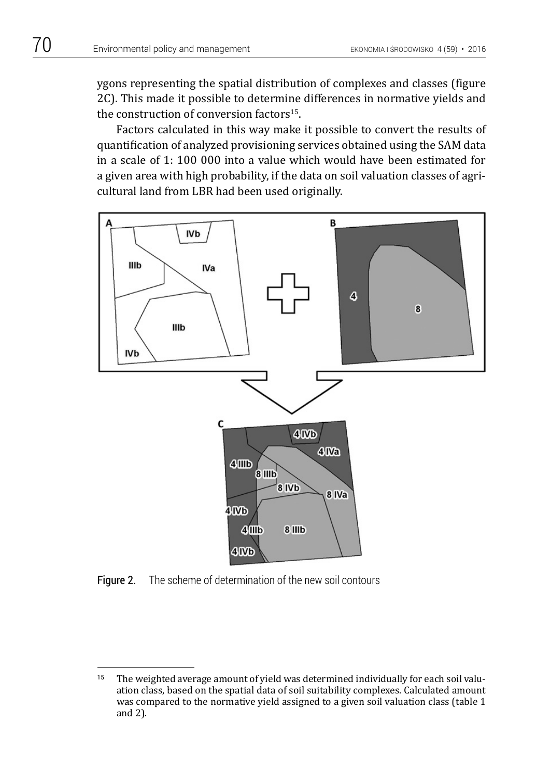ygons representing the spatial distribution of complexes and classes (figure 2C). This made it possible to determine differences in normative yields and the construction of conversion factors<sup>15</sup>.

Factors calculated in this way make it possible to convert the results of quantification of analyzed provisioning services obtained using the SAM data in a scale of 1: 100 000 into a value which would have been estimated for a given area with high probability, if the data on soil valuation classes of agricultural land from LBR had been used originally.



Figure 2. The scheme of determination of the new soil contours

<sup>&</sup>lt;sup>15</sup> The weighted average amount of yield was determined individually for each soil valuation class, based on the spatial data of soil suitability complexes. Calculated amount was compared to the normative yield assigned to a given soil valuation class (table 1 and 2).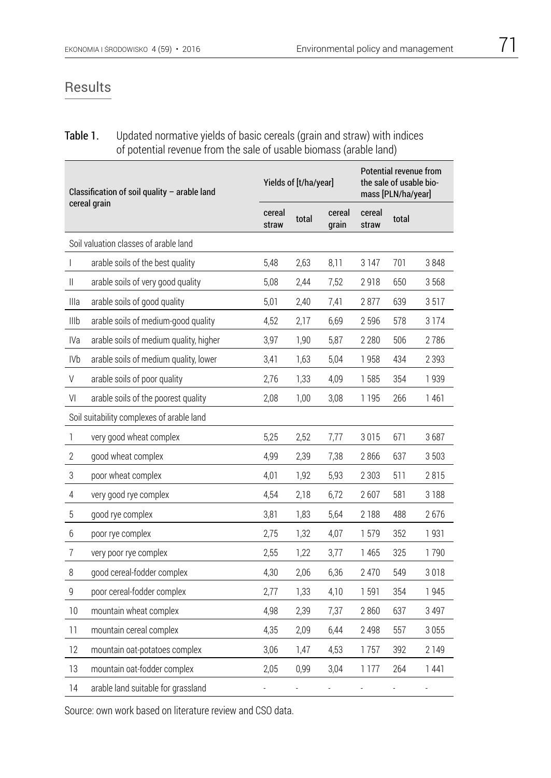### Results

### **Table 1.** Updated normative yields of basic cereals (grain and straw) with indices of potential revenue from the sale of usable biomass (arable land)

| Classification of soil quality - arable land<br>cereal grain |                                        |                 | Yields of [t/ha/year] |                 |                 | Potential revenue from<br>the sale of usable bio-<br>mass [PLN/ha/year] |                |  |
|--------------------------------------------------------------|----------------------------------------|-----------------|-----------------------|-----------------|-----------------|-------------------------------------------------------------------------|----------------|--|
|                                                              |                                        | cereal<br>straw | total                 | cereal<br>grain | cereal<br>straw | total                                                                   |                |  |
|                                                              | Soil valuation classes of arable land  |                 |                       |                 |                 |                                                                         |                |  |
| T                                                            | arable soils of the best quality       | 5,48            | 2,63                  | 8,11            | 3147            | 701                                                                     | 3848           |  |
| Ш                                                            | arable soils of very good quality      | 5,08            | 2,44                  | 7,52            | 2918            | 650                                                                     | 3568           |  |
| Illa                                                         | arable soils of good quality           | 5,01            | 2,40                  | 7,41            | 2877            | 639                                                                     | 3517           |  |
| IIIb                                                         | arable soils of medium-good quality    | 4,52            | 2,17                  | 6,69            | 2596            | 578                                                                     | 3 1 7 4        |  |
| IVa                                                          | arable soils of medium quality, higher | 3,97            | 1,90                  | 5,87            | 2 2 8 0         | 506                                                                     | 2786           |  |
| <b>IVb</b>                                                   | arable soils of medium quality, lower  | 3,41            | 1,63                  | 5,04            | 1958            | 434                                                                     | 2 3 9 3        |  |
| $\mathsf V$                                                  | arable soils of poor quality           | 2,76            | 1,33                  | 4,09            | 1585            | 354                                                                     | 1939           |  |
| VI                                                           | arable soils of the poorest quality    | 2,08            | 1,00                  | 3,08            | 1 1 9 5         | 266                                                                     | 1461           |  |
| Soil suitability complexes of arable land                    |                                        |                 |                       |                 |                 |                                                                         |                |  |
| $\mathbb{I}$                                                 | very good wheat complex                | 5,25            | 2,52                  | 7,77            | 3015            | 671                                                                     | 3687           |  |
| $\mathbf{2}$                                                 | good wheat complex                     | 4,99            | 2,39                  | 7,38            | 2866            | 637                                                                     | 3503           |  |
| $\sqrt{3}$                                                   | poor wheat complex                     | 4,01            | 1,92                  | 5,93            | 2 3 0 3         | 511                                                                     | 2815           |  |
| $\overline{4}$                                               | very good rye complex                  | 4,54            | 2,18                  | 6,72            | 2607            | 581                                                                     | 3 1 8 8        |  |
| $\sqrt{5}$                                                   | good rye complex                       | 3,81            | 1,83                  | 5,64            | 2 1 8 8         | 488                                                                     | 2676           |  |
| $6\,$                                                        | poor rye complex                       | 2,75            | 1,32                  | 4,07            | 1579            | 352                                                                     | 1931           |  |
| $\overline{7}$                                               | very poor rye complex                  | 2,55            | 1,22                  | 3,77            | 1 4 6 5         | 325                                                                     | 1790           |  |
| $\, 8$                                                       | good cereal-fodder complex             | 4,30            | 2,06                  | 6,36            | 2 4 7 0         | 549                                                                     | 3018           |  |
| $\mathsf g$                                                  | poor cereal-fodder complex             | 2,77            | 1,33                  | 4,10            | 1591            | 354                                                                     | 1945           |  |
| 10                                                           | mountain wheat complex                 | 4,98            | 2,39                  | 7,37            | 2860            | 637                                                                     | 3 4 9 7        |  |
| 11                                                           | mountain cereal complex                | 4,35            | 2,09                  | 6,44            | 2 4 9 8         | 557                                                                     | 3055           |  |
| 12                                                           | mountain oat-potatoes complex          | 3,06            | 1,47                  | 4,53            | 1757            | 392                                                                     | 2 1 4 9        |  |
| 13                                                           | mountain oat-fodder complex            | 2,05            | 0,99                  | 3,04            | 1 1 7 7         | 264                                                                     | 1441           |  |
| 14                                                           | arable land suitable for grassland     | Ļ               |                       | $\overline{a}$  | ä,              |                                                                         | $\overline{a}$ |  |

Source: own work based on literature review and CSO data.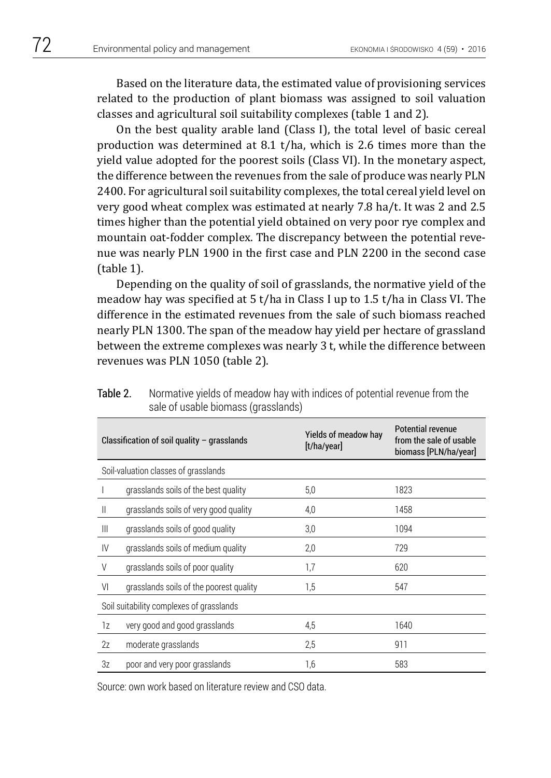Based on the literature data, the estimated value of provisioning services related to the production of plant biomass was assigned to soil valuation classes and agricultural soil suitability complexes (table 1 and 2).

On the best quality arable land (Class I), the total level of basic cereal production was determined at 8.1 t/ha, which is 2.6 times more than the yield value adopted for the poorest soils (Class VI). In the monetary aspect, the difference between the revenues from the sale of produce was nearly PLN 2400. For agricultural soil suitability complexes, the total cereal yield level on very good wheat complex was estimated at nearly 7.8 ha/t. It was 2 and 2.5 times higher than the potential yield obtained on very poor rye complex and mountain oat-fodder complex. The discrepancy between the potential revenue was nearly PLN 1900 in the first case and PLN 2200 in the second case (table 1).

Depending on the quality of soil of grasslands, the normative yield of the meadow hay was specified at 5 t/ha in Class I up to 1.5 t/ha in Class VI. The difference in the estimated revenues from the sale of such biomass reached nearly PLN 1300. The span of the meadow hay yield per hectare of grassland between the extreme complexes was nearly 3 t, while the difference between revenues was PLN 1050 (table 2).

|                                          | Classification of soil quality $-$ grasslands | Yields of meadow hay<br>[t/ha/year] | <b>Potential revenue</b><br>from the sale of usable<br>biomass [PLN/ha/year] |  |  |  |
|------------------------------------------|-----------------------------------------------|-------------------------------------|------------------------------------------------------------------------------|--|--|--|
| Soil-valuation classes of grasslands     |                                               |                                     |                                                                              |  |  |  |
|                                          | grasslands soils of the best quality          | 5,0                                 | 1823                                                                         |  |  |  |
| Ш                                        | grasslands soils of very good quality         | 4,0                                 | 1458                                                                         |  |  |  |
| $\mathbf{III}$                           | grasslands soils of good quality              | 3,0                                 | 1094                                                                         |  |  |  |
| IV                                       | grasslands soils of medium quality            | 2,0                                 | 729                                                                          |  |  |  |
| V                                        | grasslands soils of poor quality              | 1,7                                 | 620                                                                          |  |  |  |
| VI                                       | grasslands soils of the poorest quality       | 1,5                                 | 547                                                                          |  |  |  |
| Soil suitability complexes of grasslands |                                               |                                     |                                                                              |  |  |  |
| 1z                                       | very good and good grasslands                 | 4,5                                 | 1640                                                                         |  |  |  |
| 2z                                       | moderate grasslands                           | 2,5                                 | 911                                                                          |  |  |  |
| 3z                                       | poor and very poor grasslands                 | 1,6                                 | 583                                                                          |  |  |  |

Table 2. Normative yields of meadow hay with indices of potential revenue from the sale of usable biomass (grasslands)

Source: own work based on literature review and CSO data.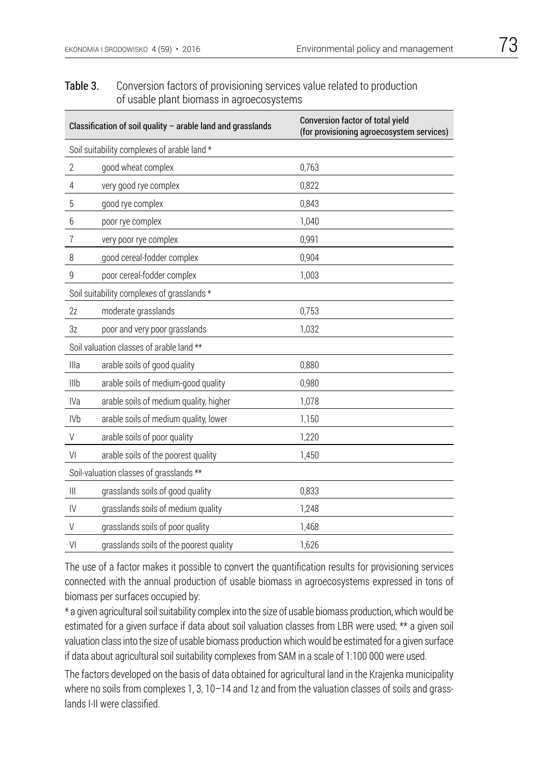### Table 3. Conversion factors of provisioning services value related to production of usable plant biomass in agroecosystems

|                                             | Classification of soil quality - arable land and grasslands | <b>Conversion factor of total yield</b><br>(for provisioning agroecosystem services) |  |  |  |  |
|---------------------------------------------|-------------------------------------------------------------|--------------------------------------------------------------------------------------|--|--|--|--|
| Soil suitability complexes of arable land * |                                                             |                                                                                      |  |  |  |  |
| 2                                           | good wheat complex                                          | 0,763                                                                                |  |  |  |  |
| $\overline{4}$                              | very good rye complex                                       | 0,822                                                                                |  |  |  |  |
| 5                                           | good rye complex                                            | 0,843                                                                                |  |  |  |  |
| 6                                           | poor rye complex                                            | 1,040                                                                                |  |  |  |  |
| $\overline{7}$                              | very poor rye complex                                       | 0,991                                                                                |  |  |  |  |
| 8                                           | good cereal-fodder complex                                  | 0,904                                                                                |  |  |  |  |
| 9                                           | poor cereal-fodder complex                                  | 1,003                                                                                |  |  |  |  |
| Soil suitability complexes of grasslands *  |                                                             |                                                                                      |  |  |  |  |
| 2z                                          | moderate grasslands                                         | 0,753                                                                                |  |  |  |  |
| 3z                                          | poor and very poor grasslands                               | 1,032                                                                                |  |  |  |  |
| Soil valuation classes of arable land **    |                                                             |                                                                                      |  |  |  |  |
| Illa                                        | arable soils of good quality                                | 0,880                                                                                |  |  |  |  |
| Illb                                        | arable soils of medium-good quality                         | 0,980                                                                                |  |  |  |  |
| <b>IVa</b>                                  | arable soils of medium quality, higher                      | 1,078                                                                                |  |  |  |  |
| <b>IVb</b>                                  | arable soils of medium quality, lower                       | 1,150                                                                                |  |  |  |  |
| $\vee$                                      | arable soils of poor quality                                | 1,220                                                                                |  |  |  |  |
| V <sub>l</sub>                              | arable soils of the poorest quality                         | 1,450                                                                                |  |  |  |  |
|                                             | Soil-valuation classes of grasslands **                     |                                                                                      |  |  |  |  |
| $\mathbf{III}$                              | grasslands soils of good quality                            | 0.833                                                                                |  |  |  |  |
| $\mathsf{IV}$                               | grasslands soils of medium quality                          | 1,248                                                                                |  |  |  |  |
| $\vee$                                      | grasslands soils of poor quality                            | 1,468                                                                                |  |  |  |  |
| VI                                          | grasslands soils of the poorest quality                     | 1,626                                                                                |  |  |  |  |

The use of a factor makes it possible to convert the quantification results for provisioning services connected with the annual production of usable biomass in agroecosystems expressed in tons of biomass per surfaces occupied by:

\* a given agricultural soil suitability complex into the size of usable biomass production, which would be estimated for a given surface if data about soil valuation classes from LBR were used; \*\* a given soil valuation class into the size of usable biomass production which would be estimated for a given surface if data about agricultural soil suitability complexes from SAM in a scale of 1:100 000 were used.

The factors developed on the basis of data obtained for agricultural land in the Krajenka municipality where no soils from complexes 1, 3, 10-14 and 1z and from the valuation classes of soils and grasslands I-II were classified.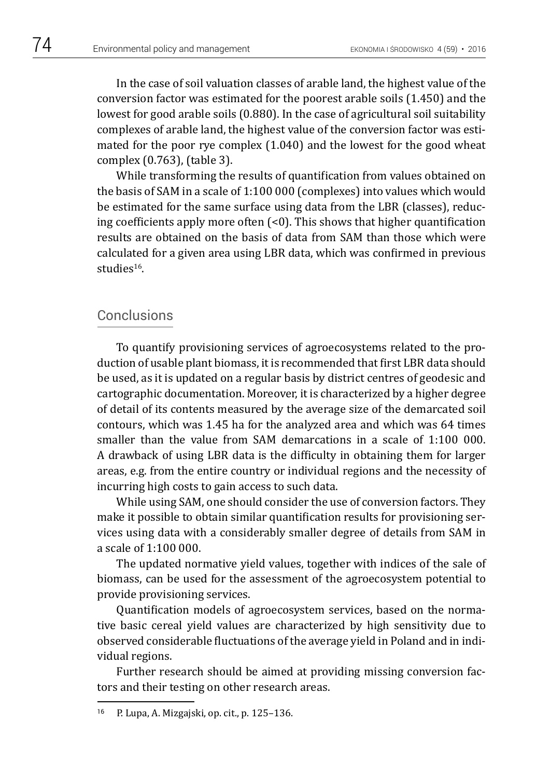In the case of soil valuation classes of arable land, the highest value of the conversion factor was estimated for the poorest arable soils (1.450) and the lowest for good arable soils (0.880). In the case of agricultural soil suitability complexes of arable land, the highest value of the conversion factor was estimated for the poor rye complex (1.040) and the lowest for the good wheat complex (0.763), (table 3).

While transforming the results of quantification from values obtained on the basis of SAM in a scale of 1:100 000 (complexes) into values which would be estimated for the same surface using data from the LBR (classes), reducing coefficients apply more often (<0). This shows that higher quantification results are obtained on the basis of data from SAM than those which were calculated for a given area using LBR data, which was confirmed in previous studies<sup>16</sup>.

### Conclusions

To quantify provisioning services of agroecosystems related to the production of usable plant biomass, it is recommended that first LBR data should be used, as it is updated on a regular basis by district centres of geodesic and cartographic documentation. Moreover, it is characterized by a higher degree of detail of its contents measured by the average size of the demarcated soil contours, which was 1.45 ha for the analyzed area and which was 64 times smaller than the value from SAM demarcations in a scale of 1:100 000. A drawback of using LBR data is the difficulty in obtaining them for larger areas, e.g. from the entire country or individual regions and the necessity of incurring high costs to gain access to such data.

While using SAM, one should consider the use of conversion factors. They make it possible to obtain similar quantification results for provisioning services using data with a considerably smaller degree of details from SAM in a scale of 1:100 000.

The updated normative yield values, together with indices of the sale of biomass, can be used for the assessment of the agroecosystem potential to provide provisioning services.

Quantification models of agroecosystem services, based on the normative basic cereal yield values are characterized by high sensitivity due to observed considerable fluctuations of the average yield in Poland and in individual regions.

Further research should be aimed at providing missing conversion factors and their testing on other research areas.

<sup>16</sup> P. Lupa, A. Mizgajski, op. cit., p. 125–136.